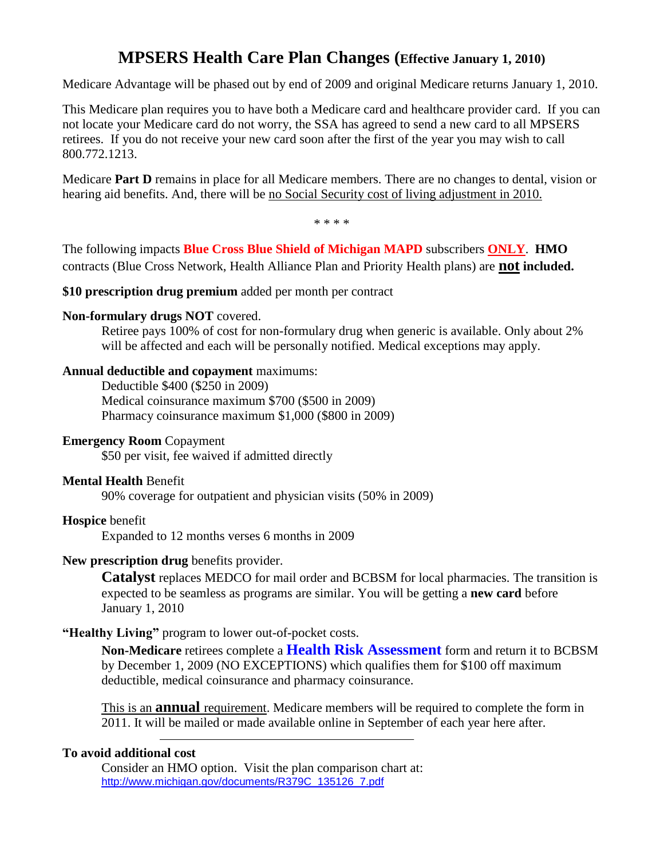# **MPSERS Health Care Plan Changes (Effective January 1, 2010)**

Medicare Advantage will be phased out by end of 2009 and original Medicare returns January 1, 2010.

This Medicare plan requires you to have both a Medicare card and healthcare provider card. If you can not locate your Medicare card do not worry, the SSA has agreed to send a new card to all MPSERS retirees. If you do not receive your new card soon after the first of the year you may wish to call 800.772.1213.

Medicare **Part D** remains in place for all Medicare members. There are no changes to dental, vision or hearing aid benefits. And, there will be no Social Security cost of living adjustment in 2010.

\* \* \* \*

The following impacts **Blue Cross Blue Shield of Michigan MAPD** subscribers **ONLY**. **HMO** contracts (Blue Cross Network, Health Alliance Plan and Priority Health plans) are **not included.**

**\$10 prescription drug premium** added per month per contract

### **Non-formulary drugs NOT** covered.

Retiree pays 100% of cost for non-formulary drug when generic is available. Only about 2% will be affected and each will be personally notified. Medical exceptions may apply.

### **Annual deductible and copayment** maximums:

Deductible \$400 (\$250 in 2009) Medical coinsurance maximum \$700 (\$500 in 2009) Pharmacy coinsurance maximum \$1,000 (\$800 in 2009)

### **Emergency Room** Copayment

\$50 per visit, fee waived if admitted directly

### **Mental Health** Benefit

90% coverage for outpatient and physician visits (50% in 2009)

### **Hospice** benefit

Expanded to 12 months verses 6 months in 2009

## **New prescription drug** benefits provider.

**Catalyst** replaces MEDCO for mail order and BCBSM for local pharmacies. The transition is expected to be seamless as programs are similar. You will be getting a **new card** before January 1, 2010

### **"Healthy Living"** program to lower out-of-pocket costs.

**Non-Medicare** retirees complete a **Health Risk Assessment** form and return it to BCBSM by December 1, 2009 (NO EXCEPTIONS) which qualifies them for \$100 off maximum deductible, medical coinsurance and pharmacy coinsurance.

This is an **annual** requirement. Medicare members will be required to complete the form in 2011. It will be mailed or made available online in September of each year here after.

### **To avoid additional cost**

Consider an HMO option. Visit the plan comparison chart at: [http://www.michigan.gov/documents/R379C\\_135126\\_7.pdf](http://www.michigan.gov/documents/R379C_135126_7.pdf)